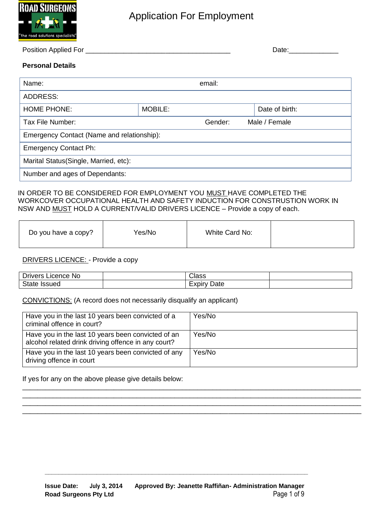

#### Position Applied For \_\_\_\_\_\_\_\_\_\_\_\_\_\_\_\_\_\_\_\_\_\_\_\_\_\_\_\_\_\_\_\_\_\_\_\_\_\_ Date:\_\_\_\_\_\_\_\_\_\_\_\_\_

#### **Personal Details**

| Name:                                      |         | email:                   |                |  |
|--------------------------------------------|---------|--------------------------|----------------|--|
| ADDRESS:                                   |         |                          |                |  |
| <b>HOME PHONE:</b>                         | MOBILE: |                          | Date of birth: |  |
| Tax File Number:                           |         | Gender:<br>Male / Female |                |  |
| Emergency Contact (Name and relationship): |         |                          |                |  |
| <b>Emergency Contact Ph:</b>               |         |                          |                |  |
| Marital Status (Single, Married, etc):     |         |                          |                |  |
| Number and ages of Dependants:             |         |                          |                |  |

#### IN ORDER TO BE CONSIDERED FOR EMPLOYMENT YOU MUST HAVE COMPLETED THE WORKCOVER OCCUPATIONAL HEALTH AND SAFETY INDUCTION FOR CONSTRUSTION WORK IN NSW AND MUST HOLD A CURRENT/VALID DRIVERS LICENCE – Provide a copy of each.

| Yes/No<br>Do you have a copy? | White Card No: |
|-------------------------------|----------------|
|-------------------------------|----------------|

#### DRIVERS LICENCE: - Provide a copy

| <b>Drivers</b><br>N0<br>Licence | ∽<br><b>Noce</b><br><b>JICO</b> - |  |
|---------------------------------|-----------------------------------|--|
| <b>State</b><br>suec            | -<br>Cate<br>$  -$<br>ᄂᄭ          |  |

#### CONVICTIONS: (A record does not necessarily disqualify an applicant)

| Have you in the last 10 years been convicted of a<br>criminal offence in court?                           | Yes/No |
|-----------------------------------------------------------------------------------------------------------|--------|
| Have you in the last 10 years been convicted of an<br>alcohol related drink driving offence in any court? | Yes/No |
| Have you in the last 10 years been convicted of any<br>driving offence in court                           | Yes/No |

\_\_\_\_\_\_\_\_\_\_\_\_\_\_\_\_\_\_\_\_\_\_\_\_\_\_\_\_\_\_\_\_\_\_\_\_\_\_\_\_\_\_\_\_\_\_\_\_\_\_\_\_\_\_\_\_\_\_\_\_\_\_\_\_\_\_\_\_\_\_\_\_\_\_\_\_\_\_\_\_\_\_\_\_\_\_\_\_\_ \_\_\_\_\_\_\_\_\_\_\_\_\_\_\_\_\_\_\_\_\_\_\_\_\_\_\_\_\_\_\_\_\_\_\_\_\_\_\_\_\_\_\_\_\_\_\_\_\_\_\_\_\_\_\_\_\_\_\_\_\_\_\_\_\_\_\_\_\_\_\_\_\_\_\_\_\_\_\_\_\_\_\_\_\_\_\_\_\_ \_\_\_\_\_\_\_\_\_\_\_\_\_\_\_\_\_\_\_\_\_\_\_\_\_\_\_\_\_\_\_\_\_\_\_\_\_\_\_\_\_\_\_\_\_\_\_\_\_\_\_\_\_\_\_\_\_\_\_\_\_\_\_\_\_\_\_\_\_\_\_\_\_\_\_\_\_\_\_\_\_\_\_\_\_\_\_\_\_ \_\_\_\_\_\_\_\_\_\_\_\_\_\_\_\_\_\_\_\_\_\_\_\_\_\_\_\_\_\_\_\_\_\_\_\_\_\_\_\_\_\_\_\_\_\_\_\_\_\_\_\_\_\_\_\_\_\_\_\_\_\_\_\_\_\_\_\_\_\_\_\_\_\_\_\_\_\_\_\_\_\_\_\_\_\_\_\_\_

If yes for any on the above please give details below: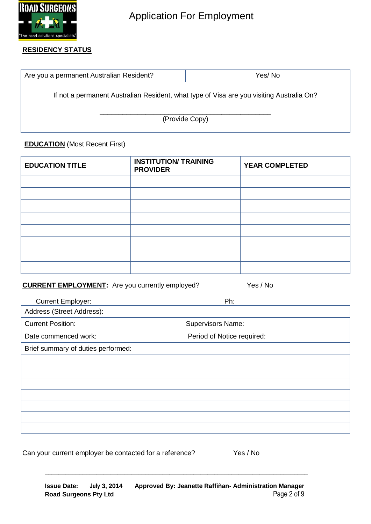

#### **RESIDENCY STATUS**

| Are you a permanent Australian Resident?                                                 | Yes/No |  |  |  |
|------------------------------------------------------------------------------------------|--------|--|--|--|
| If not a permanent Australian Resident, what type of Visa are you visiting Australia On? |        |  |  |  |
| (Provide Copy)                                                                           |        |  |  |  |

### **EDUCATION** (Most Recent First)

| <b>EDUCATION TITLE</b> | <b>INSTITUTION/ TRAINING</b><br><b>PROVIDER</b> | <b>YEAR COMPLETED</b> |
|------------------------|-------------------------------------------------|-----------------------|
|                        |                                                 |                       |
|                        |                                                 |                       |
|                        |                                                 |                       |
|                        |                                                 |                       |
|                        |                                                 |                       |
|                        |                                                 |                       |
|                        |                                                 |                       |
|                        |                                                 |                       |

## **CURRENT EMPLOYMENT:** Are you currently employed? Yes / No

| <b>Current Employer:</b>           | Ph:                        |
|------------------------------------|----------------------------|
| Address (Street Address):          |                            |
| <b>Current Position:</b>           | <b>Supervisors Name:</b>   |
| Date commenced work:               | Period of Notice required: |
| Brief summary of duties performed: |                            |
|                                    |                            |
|                                    |                            |
|                                    |                            |
|                                    |                            |
|                                    |                            |
|                                    |                            |
|                                    |                            |

Can your current employer be contacted for a reference? Yes / No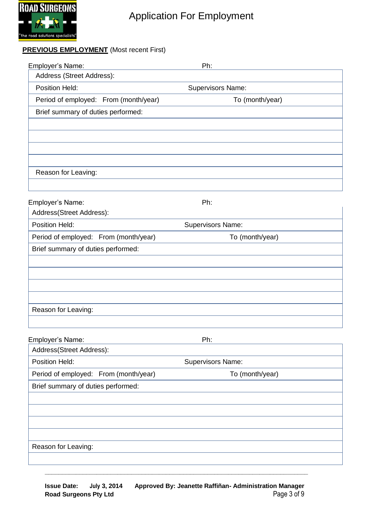

### **PREVIOUS EMPLOYMENT** (Most recent First)

| Employer's Name:                      |                                       | Ph:               |  |
|---------------------------------------|---------------------------------------|-------------------|--|
| Address (Street Address):             |                                       |                   |  |
| Position Held:                        |                                       | Supervisors Name: |  |
|                                       | Period of employed: From (month/year) | To (month/year)   |  |
| Brief summary of duties performed:    |                                       |                   |  |
|                                       |                                       |                   |  |
|                                       |                                       |                   |  |
|                                       |                                       |                   |  |
|                                       |                                       |                   |  |
| Reason for Leaving:                   |                                       |                   |  |
|                                       |                                       |                   |  |
| Employer's Name:                      |                                       | Ph:               |  |
| Address(Street Address):              |                                       |                   |  |
| Position Held:                        |                                       | Supervisors Name: |  |
| Period of employed: From (month/year) |                                       | To (month/year)   |  |
| Brief summary of duties performed:    |                                       |                   |  |
|                                       |                                       |                   |  |
|                                       |                                       |                   |  |
|                                       |                                       |                   |  |
|                                       |                                       |                   |  |
| Reason for Leaving:                   |                                       |                   |  |
|                                       |                                       |                   |  |
| Employer's Name:                      |                                       | Ph:               |  |
| Address(Street Address):              |                                       |                   |  |
| Position Held:                        |                                       | Supervisors Name: |  |
| Period of employed: From (month/year) |                                       | To (month/year)   |  |
| Brief summary of duties performed:    |                                       |                   |  |
|                                       |                                       |                   |  |
|                                       |                                       |                   |  |
|                                       |                                       |                   |  |
|                                       |                                       |                   |  |
| Reason for Leaving:                   |                                       |                   |  |
|                                       |                                       |                   |  |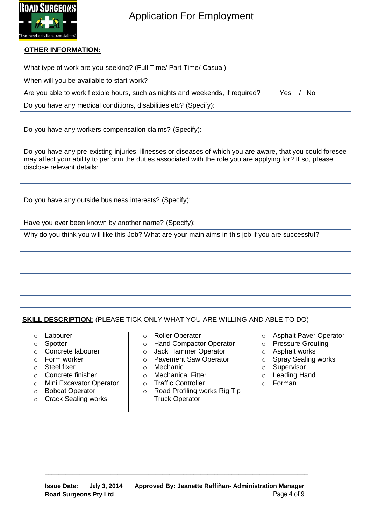

#### **OTHER INFORMATION:**

What type of work are you seeking? (Full Time/ Part Time/ Casual)

When will you be available to start work?

Are you able to work flexible hours, such as nights and weekends, if required? Yes / No

Do you have any medical conditions, disabilities etc? (Specify):

Do you have any workers compensation claims? (Specify):

Do you have any pre-existing injuries, illnesses or diseases of which you are aware, that you could foresee may affect your ability to perform the duties associated with the role you are applying for? If so, please disclose relevant details:

Do you have any outside business interests? (Specify):

Have you ever been known by another name? (Specify):

Why do you think you will like this Job? What are your main aims in this job if you are successful?

### **SKILL DESCRIPTION:** (PLEASE TICK ONLY WHAT YOU ARE WILLING AND ABLE TO DO)

|   | <sub>-</sub> abourer       | $\circ$ | <b>Roller Operator</b>         |         | <b>Asphalt Paver Operator</b> |
|---|----------------------------|---------|--------------------------------|---------|-------------------------------|
| O | Spotter                    | O       | <b>Hand Compactor Operator</b> | $\circ$ | <b>Pressure Grouting</b>      |
|   | Concrete labourer          |         | Jack Hammer Operator           |         | Asphalt works                 |
|   | Form worker                | $\circ$ | <b>Pavement Saw Operator</b>   |         | <b>Spray Sealing works</b>    |
|   | Steel fixer                |         | Mechanic                       |         | Supervisor                    |
|   | Concrete finisher          |         | <b>Mechanical Fitter</b>       |         | <b>Leading Hand</b>           |
| O | Mini Excavator Operator    |         | <b>Traffic Controller</b>      |         | Forman                        |
| O | <b>Bobcat Operator</b>     | O       | Road Profiling works Rig Tip   |         |                               |
|   | <b>Crack Sealing works</b> |         | <b>Truck Operator</b>          |         |                               |
|   |                            |         |                                |         |                               |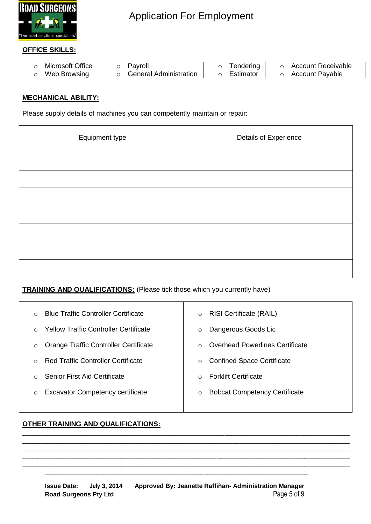

#### **OFFICE SKILLS:**

| Microsoft Office | 'avroll                | endering  | Account Receivable |
|------------------|------------------------|-----------|--------------------|
| Web Browsing     | General Administration | ⊟stimator | Account Pavable    |

#### **MECHANICAL ABILITY:**

Please supply details of machines you can competently maintain or repair:

| Equipment type | Details of Experience |
|----------------|-----------------------|
|                |                       |
|                |                       |
|                |                       |
|                |                       |
|                |                       |
|                |                       |
|                |                       |

**TRAINING AND QUALIFICATIONS:** (Please tick those which you currently have)

| $\Omega$ | <b>Blue Traffic Controller Certificate</b>   | <b>RISI Certificate (RAIL)</b><br>$\circ$    |  |
|----------|----------------------------------------------|----------------------------------------------|--|
| $\Omega$ | <b>Yellow Traffic Controller Certificate</b> | Dangerous Goods Lic<br>$\circ$               |  |
| $\circ$  | Orange Traffic Controller Certificate        | <b>Overhead Powerlines Certificate</b>       |  |
| $\Omega$ | <b>Red Traffic Controller Certificate</b>    | <b>Confined Space Certificate</b><br>$\circ$ |  |
| ∩        | <b>Senior First Aid Certificate</b>          | <b>Forklift Certificate</b>                  |  |
| O        | <b>Excavator Competency certificate</b>      | <b>Bobcat Competency Certificate</b>         |  |
|          |                                              |                                              |  |

\_\_\_\_\_\_\_\_\_\_\_\_\_\_\_\_\_\_\_\_\_\_\_\_\_\_\_\_\_\_\_\_\_\_\_\_\_\_\_\_\_\_\_\_\_\_\_\_\_\_\_\_\_\_\_\_\_\_\_\_\_\_\_\_\_\_\_\_\_\_\_\_\_\_\_\_\_\_\_\_\_\_\_\_\_\_ \_\_\_\_\_\_\_\_\_\_\_\_\_\_\_\_\_\_\_\_\_\_\_\_\_\_\_\_\_\_\_\_\_\_\_\_\_\_\_\_\_\_\_\_\_\_\_\_\_\_\_\_\_\_\_\_\_\_\_\_\_\_\_\_\_\_\_\_\_\_\_\_\_\_\_\_\_\_\_\_\_\_\_\_\_\_ \_\_\_\_\_\_\_\_\_\_\_\_\_\_\_\_\_\_\_\_\_\_\_\_\_\_\_\_\_\_\_\_\_\_\_\_\_\_\_\_\_\_\_\_\_\_\_\_\_\_\_\_\_\_\_\_\_\_\_\_\_\_\_\_\_\_\_\_\_\_\_\_\_\_\_\_\_\_\_\_\_\_\_\_\_\_ \_\_\_\_\_\_\_\_\_\_\_\_\_\_\_\_\_\_\_\_\_\_\_\_\_\_\_\_\_\_\_\_\_\_\_\_\_\_\_\_\_\_\_\_\_\_\_\_\_\_\_\_\_\_\_\_\_\_\_\_\_\_\_\_\_\_\_\_\_\_\_\_\_\_\_\_\_\_\_\_\_\_\_\_\_\_ \_\_\_\_\_\_\_\_\_\_\_\_\_\_\_\_\_\_\_\_\_\_\_\_\_\_\_\_\_\_\_\_\_\_\_\_\_\_\_\_\_\_\_\_\_\_\_\_\_\_\_\_\_\_\_\_\_\_\_\_\_\_\_\_\_\_\_\_\_\_\_\_\_\_\_\_\_\_\_\_\_\_\_\_\_\_

#### **OTHER TRAINING AND QUALIFICATIONS:**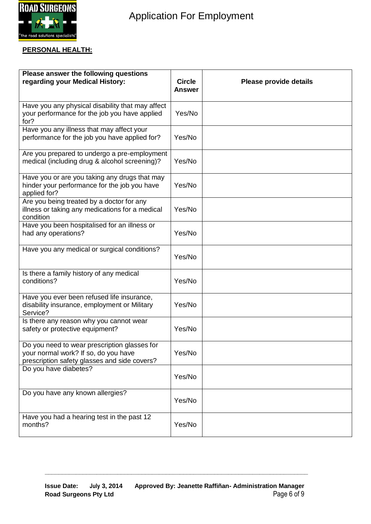

#### **PERSONAL HEALTH:**

| Please answer the following questions<br>regarding your Medical History:                                                             | <b>Circle</b><br>Answer | Please provide details |
|--------------------------------------------------------------------------------------------------------------------------------------|-------------------------|------------------------|
| Have you any physical disability that may affect<br>your performance for the job you have applied<br>for?                            | Yes/No                  |                        |
| Have you any illness that may affect your<br>performance for the job you have applied for?                                           | Yes/No                  |                        |
| Are you prepared to undergo a pre-employment<br>medical (including drug & alcohol screening)?                                        | Yes/No                  |                        |
| Have you or are you taking any drugs that may<br>hinder your performance for the job you have<br>applied for?                        | Yes/No                  |                        |
| Are you being treated by a doctor for any<br>illness or taking any medications for a medical<br>condition                            | Yes/No                  |                        |
| Have you been hospitalised for an illness or<br>had any operations?                                                                  | Yes/No                  |                        |
| Have you any medical or surgical conditions?                                                                                         | Yes/No                  |                        |
| Is there a family history of any medical<br>conditions?                                                                              | Yes/No                  |                        |
| Have you ever been refused life insurance,<br>disability insurance, employment or Military<br>Service?                               | Yes/No                  |                        |
| Is there any reason why you cannot wear<br>safety or protective equipment?                                                           | Yes/No                  |                        |
| Do you need to wear prescription glasses for<br>your normal work? If so, do you have<br>prescription safety glasses and side covers? | Yes/No                  |                        |
| Do you have diabetes?                                                                                                                | Yes/No                  |                        |
| Do you have any known allergies?                                                                                                     | Yes/No                  |                        |
| Have you had a hearing test in the past 12<br>months?                                                                                | Yes/No                  |                        |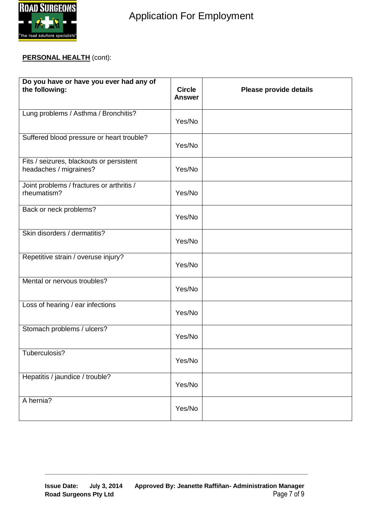

### **PERSONAL HEALTH** (cont):

| Do you have or have you ever had any of<br>the following:          | <b>Circle</b><br><b>Answer</b> | Please provide details |
|--------------------------------------------------------------------|--------------------------------|------------------------|
| Lung problems / Asthma / Bronchitis?                               | Yes/No                         |                        |
| Suffered blood pressure or heart trouble?                          | Yes/No                         |                        |
| Fits / seizures, blackouts or persistent<br>headaches / migraines? | Yes/No                         |                        |
| Joint problems / fractures or arthritis /<br>rheumatism?           | Yes/No                         |                        |
| Back or neck problems?                                             | Yes/No                         |                        |
| Skin disorders / dermatitis?                                       | Yes/No                         |                        |
| Repetitive strain / overuse injury?                                | Yes/No                         |                        |
| Mental or nervous troubles?                                        | Yes/No                         |                        |
| Loss of hearing / ear infections                                   | Yes/No                         |                        |
| Stomach problems / ulcers?                                         | Yes/No                         |                        |
| Tuberculosis?                                                      | Yes/No                         |                        |
| Hepatitis / jaundice / trouble?                                    | Yes/No                         |                        |
| A hernia?                                                          | Yes/No                         |                        |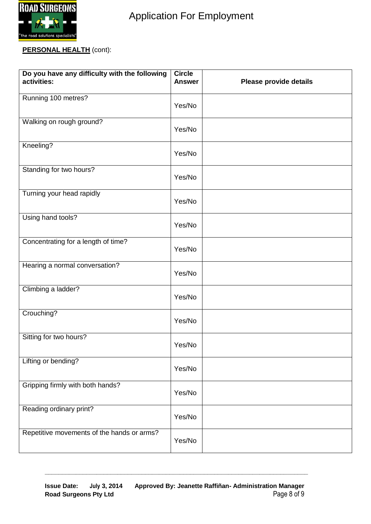

### **PERSONAL HEALTH** (cont):

| Do you have any difficulty with the following<br>activities: | <b>Circle</b><br><b>Answer</b> | Please provide details |
|--------------------------------------------------------------|--------------------------------|------------------------|
| Running 100 metres?                                          | Yes/No                         |                        |
| Walking on rough ground?                                     | Yes/No                         |                        |
| Kneeling?                                                    | Yes/No                         |                        |
| Standing for two hours?                                      | Yes/No                         |                        |
| Turning your head rapidly                                    | Yes/No                         |                        |
| Using hand tools?                                            | Yes/No                         |                        |
| Concentrating for a length of time?                          | Yes/No                         |                        |
| Hearing a normal conversation?                               | Yes/No                         |                        |
| Climbing a ladder?                                           | Yes/No                         |                        |
| Crouching?                                                   | Yes/No                         |                        |
| Sitting for two hours?                                       | Yes/No                         |                        |
| Lifting or bending?                                          | Yes/No                         |                        |
| Gripping firmly with both hands?                             | Yes/No                         |                        |
| Reading ordinary print?                                      | Yes/No                         |                        |
| Repetitive movements of the hands or arms?                   | Yes/No                         |                        |